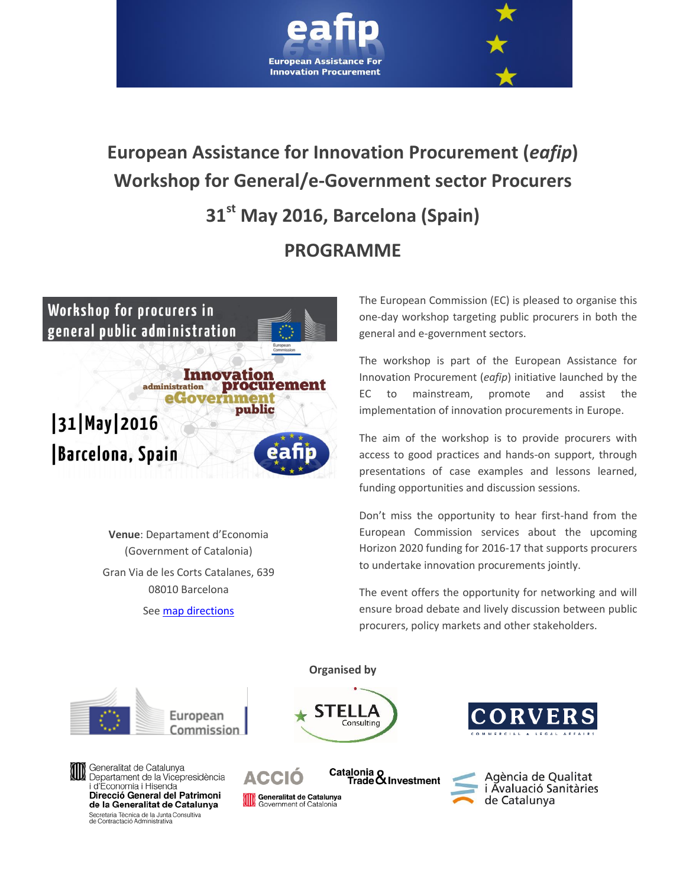

# **European Assistance for Innovation Procurement (***eafip***) Workshop for General/e-Government sector Procurers 31st May 2016, Barcelona (Spain) PROGRAMME**



**Venue**: Departament d'Economia (Government of Catalonia) Gran Via de les Corts Catalanes, 639 08010 Barcelona

Se[e map directions](http://eafip.eu/events/workshops/general_sector_workshop/)

The European Commission (EC) is pleased to organise this one-day workshop targeting public procurers in both the general and e-government sectors.

The workshop is part of the European Assistance for Innovation Procurement (*eafip*) initiative launched by the EC to mainstream, promote and assist the implementation of innovation procurements in Europe.

The aim of the workshop is to provide procurers with access to good practices and hands-on support, through presentations of case examples and lessons learned, funding opportunities and discussion sessions.

Don't miss the opportunity to hear first-hand from the European Commission services about the upcoming Horizon 2020 funding for 2016-17 that supports procurers to undertake innovation procurements jointly.

The event offers the opportunity for networking and will ensure broad debate and lively discussion between public procurers, policy markets and other stakeholders.

#### **Organised by**

ELLA

Consulting



Generalitat de Catalunya<br>Departament de la Vicepresidència i d'Economia i Hisenda Direcció General del Patrimoni de la Generalitat de Catalunya Secretaria Tècnica de la Junta Consultiva<br>de Contractació Administrativa





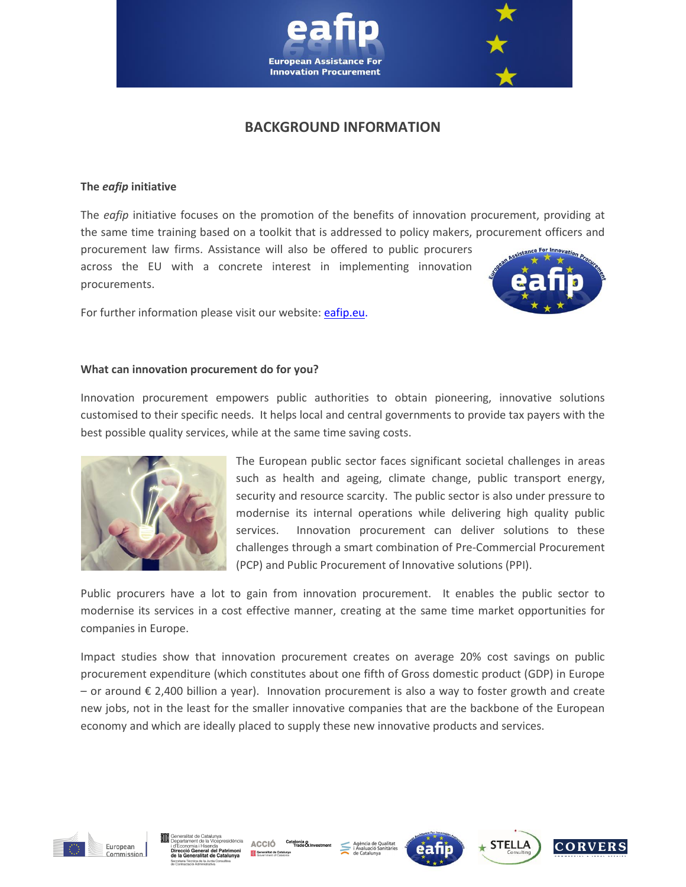

## **BACKGROUND INFORMATION**

#### **The** *eafip* **initiative**

The *eafip* initiative focuses on the promotion of the benefits of innovation procurement, providing at the same time training based on a toolkit that is addressed to policy makers, procurement officers and

procurement law firms. Assistance will also be offered to public procurers across the EU with a concrete interest in implementing innovation procurements.



For further information please visit our website: [eafip.eu.](http://eafip.eu/)

#### **What can innovation procurement do for you?**

Innovation procurement empowers public authorities to obtain pioneering, innovative solutions customised to their specific needs. It helps local and central governments to provide tax payers with the best possible quality services, while at the same time saving costs.



The European public sector faces significant societal challenges in areas such as health and ageing, climate change, public transport energy, security and resource scarcity. The public sector is also under pressure to modernise its internal operations while delivering high quality public services. Innovation procurement can deliver solutions to these challenges through a smart combination of Pre-Commercial Procurement (PCP) and Public Procurement of Innovative solutions (PPI).

Public procurers have a lot to gain from innovation procurement. It enables the public sector to modernise its services in a cost effective manner, creating at the same time market opportunities for companies in Europe.

Impact studies show that innovation procurement creates on average 20% cost savings on public procurement expenditure (which constitutes about one fifth of Gross domestic product (GDP) in Europe – or around € 2,400 billion a year). Innovation procurement is also a way to foster growth and create new jobs, not in the least for the smaller innovative companies that are the backbone of the European economy and which are ideally placed to supply these new innovative products and services.



presidència ACCIÓ Catalonia & Generalitat de Cataluny







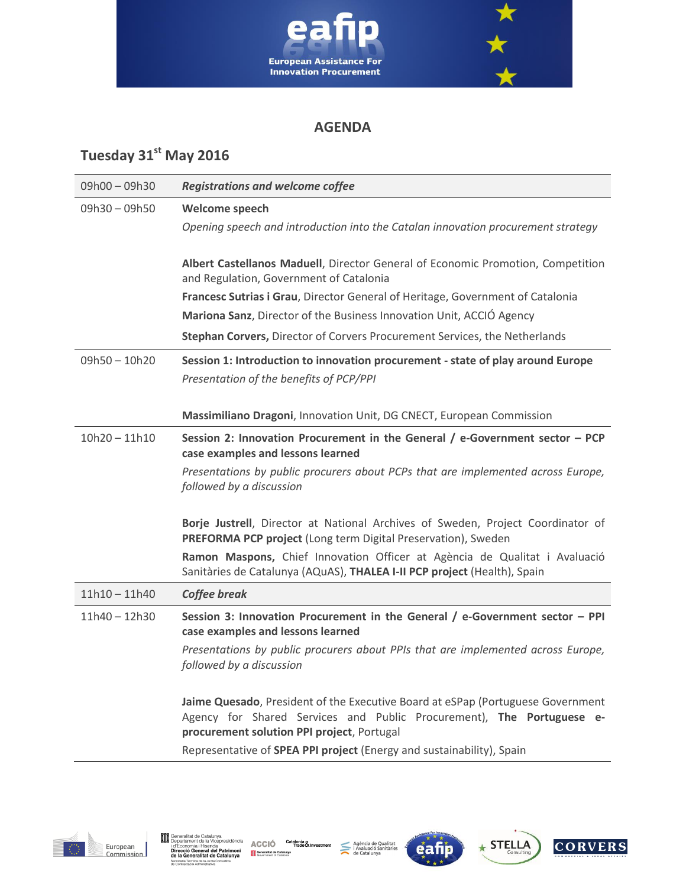

### **AGENDA**

# **Tuesday 31st May 2016**

| 09h00-09h30     | <b>Registrations and welcome coffee</b>                                                                                                                                                                |
|-----------------|--------------------------------------------------------------------------------------------------------------------------------------------------------------------------------------------------------|
| 09h30 - 09h50   | Welcome speech                                                                                                                                                                                         |
|                 | Opening speech and introduction into the Catalan innovation procurement strategy                                                                                                                       |
|                 |                                                                                                                                                                                                        |
|                 | Albert Castellanos Maduell, Director General of Economic Promotion, Competition<br>and Regulation, Government of Catalonia                                                                             |
|                 | Francesc Sutrias i Grau, Director General of Heritage, Government of Catalonia                                                                                                                         |
|                 | Mariona Sanz, Director of the Business Innovation Unit, ACCIÓ Agency                                                                                                                                   |
|                 | Stephan Corvers, Director of Corvers Procurement Services, the Netherlands                                                                                                                             |
| $09h50 - 10h20$ | Session 1: Introduction to innovation procurement - state of play around Europe                                                                                                                        |
|                 | Presentation of the benefits of PCP/PPI                                                                                                                                                                |
|                 |                                                                                                                                                                                                        |
|                 | Massimiliano Dragoni, Innovation Unit, DG CNECT, European Commission                                                                                                                                   |
| $10h20 - 11h10$ | Session 2: Innovation Procurement in the General / e-Government sector - PCP<br>case examples and lessons learned                                                                                      |
|                 | Presentations by public procurers about PCPs that are implemented across Europe,<br>followed by a discussion                                                                                           |
|                 | Borje Justrell, Director at National Archives of Sweden, Project Coordinator of<br>PREFORMA PCP project (Long term Digital Preservation), Sweden                                                       |
|                 | Ramon Maspons, Chief Innovation Officer at Agència de Qualitat i Avaluació<br>Sanitàries de Catalunya (AQuAS), THALEA I-II PCP project (Health), Spain                                                 |
| $11h10 - 11h40$ | Coffee break                                                                                                                                                                                           |
| 11h40 - 12h30   | Session 3: Innovation Procurement in the General / e-Government sector - PPI<br>case examples and lessons learned                                                                                      |
|                 | Presentations by public procurers about PPIs that are implemented across Europe,<br>followed by a discussion                                                                                           |
|                 | Jaime Quesado, President of the Executive Board at eSPap (Portuguese Government<br>Agency for Shared Services and Public Procurement), The Portuguese e-<br>procurement solution PPI project, Portugal |
|                 | Representative of SPEA PPI project (Energy and sustainability), Spain                                                                                                                                  |







eafi



**CORVERS**